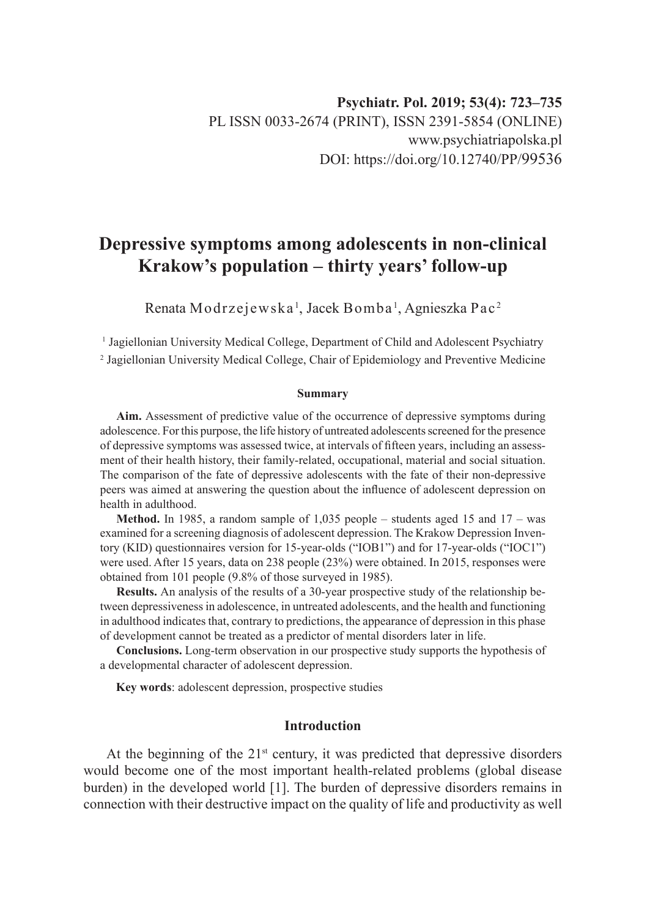# **Depressive symptoms among adolescents in non-clinical Krakow's population – thirty years' follow-up**

Renata Modrzejewska <sup>1</sup>, Jacek Bomba <sup>1</sup>, Agnieszka Pac <sup>2</sup>

1 Jagiellonian University Medical College, Department of Child and Adolescent Psychiatry 2 Jagiellonian University Medical College, Chair of Epidemiology and Preventive Medicine

#### **Summary**

**Aim.** Assessment of predictive value of the occurrence of depressive symptoms during adolescence. For this purpose, the life history of untreated adolescents screened for the presence of depressive symptoms was assessed twice, at intervals of fifteen years, including an assessment of their health history, their family-related, occupational, material and social situation. The comparison of the fate of depressive adolescents with the fate of their non-depressive peers was aimed at answering the question about the influence of adolescent depression on health in adulthood.

**Method.** In 1985, a random sample of 1,035 people – students aged 15 and 17 – was examined for a screening diagnosis of adolescent depression. The Krakow Depression Inventory (KID) questionnaires version for 15-year-olds ("IOB1") and for 17-year-olds ("IOC1") were used. After 15 years, data on 238 people (23%) were obtained. In 2015, responses were obtained from 101 people (9.8% of those surveyed in 1985).

**Results.** An analysis of the results of a 30-year prospective study of the relationship between depressiveness in adolescence, in untreated adolescents, and the health and functioning in adulthood indicates that, contrary to predictions, the appearance of depression in this phase of development cannot be treated as a predictor of mental disorders later in life.

**Conclusions.** Long-term observation in our prospective study supports the hypothesis of a developmental character of adolescent depression.

**Key words**: adolescent depression, prospective studies

### **Introduction**

At the beginning of the  $21<sup>st</sup>$  century, it was predicted that depressive disorders would become one of the most important health-related problems (global disease burden) in the developed world [1]. The burden of depressive disorders remains in connection with their destructive impact on the quality of life and productivity as well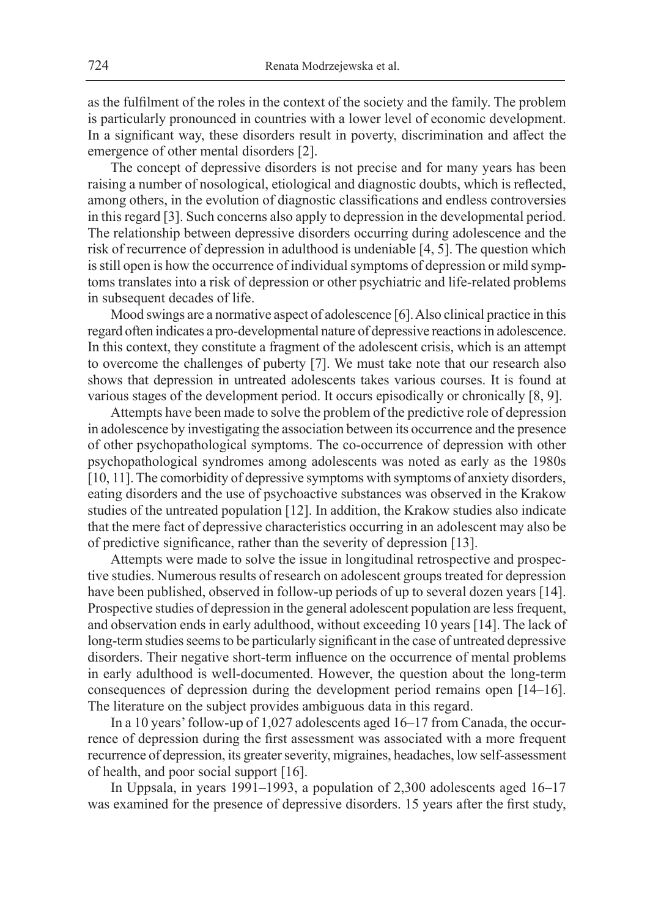as the fulfilment of the roles in the context of the society and the family. The problem is particularly pronounced in countries with a lower level of economic development. In a significant way, these disorders result in poverty, discrimination and affect the emergence of other mental disorders [2].

The concept of depressive disorders is not precise and for many years has been raising a number of nosological, etiological and diagnostic doubts, which is reflected, among others, in the evolution of diagnostic classifications and endless controversies in this regard [3]. Such concerns also apply to depression in the developmental period. The relationship between depressive disorders occurring during adolescence and the risk of recurrence of depression in adulthood is undeniable [4, 5]. The question which is still open is how the occurrence of individual symptoms of depression or mild symptoms translates into a risk of depression or other psychiatric and life-related problems in subsequent decades of life.

Mood swings are a normative aspect of adolescence [6]. Also clinical practice in this regard often indicates a pro-developmental nature of depressive reactions in adolescence. In this context, they constitute a fragment of the adolescent crisis, which is an attempt to overcome the challenges of puberty [7]. We must take note that our research also shows that depression in untreated adolescents takes various courses. It is found at various stages of the development period. It occurs episodically or chronically [8, 9].

Attempts have been made to solve the problem of the predictive role of depression in adolescence by investigating the association between its occurrence and the presence of other psychopathological symptoms. The co-occurrence of depression with other psychopathological syndromes among adolescents was noted as early as the 1980s [10, 11]. The comorbidity of depressive symptoms with symptoms of anxiety disorders, eating disorders and the use of psychoactive substances was observed in the Krakow studies of the untreated population [12]. In addition, the Krakow studies also indicate that the mere fact of depressive characteristics occurring in an adolescent may also be of predictive significance, rather than the severity of depression [13].

Attempts were made to solve the issue in longitudinal retrospective and prospective studies. Numerous results of research on adolescent groups treated for depression have been published, observed in follow-up periods of up to several dozen years [14]. Prospective studies of depression in the general adolescent population are less frequent, and observation ends in early adulthood, without exceeding 10 years [14]. The lack of long-term studies seems to be particularly significant in the case of untreated depressive disorders. Their negative short-term influence on the occurrence of mental problems in early adulthood is well-documented. However, the question about the long-term consequences of depression during the development period remains open [14–16]. The literature on the subject provides ambiguous data in this regard.

In a 10 years' follow-up of 1,027 adolescents aged 16–17 from Canada, the occurrence of depression during the first assessment was associated with a more frequent recurrence of depression, its greater severity, migraines, headaches, low self-assessment of health, and poor social support [16].

In Uppsala, in years 1991–1993, a population of 2,300 adolescents aged 16–17 was examined for the presence of depressive disorders. 15 years after the first study,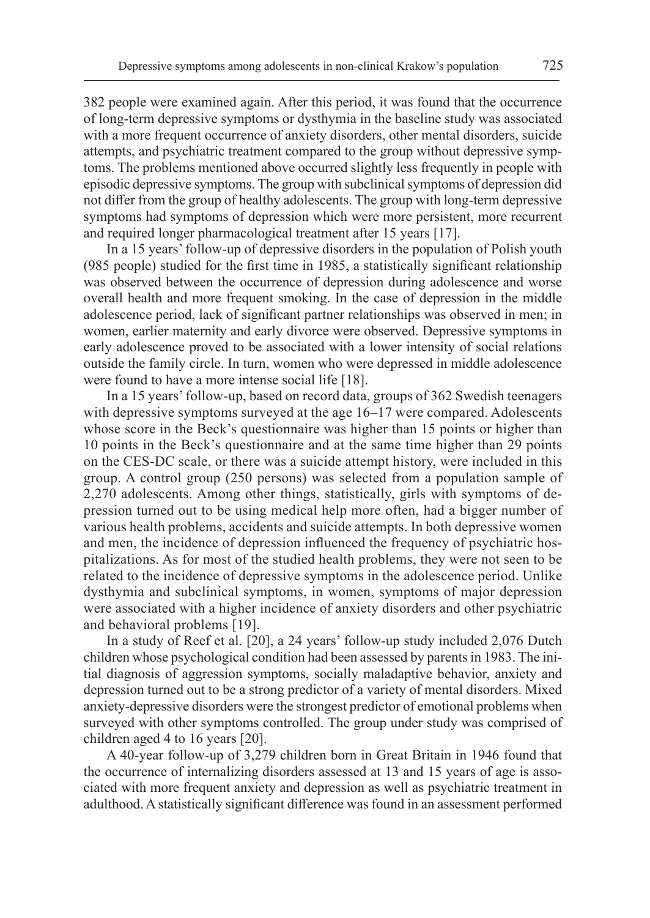382 people were examined again. After this period, it was found that the occurrence of long-term depressive symptoms or dysthymia in the baseline study was associated with a more frequent occurrence of anxiety disorders, other mental disorders, suicide attempts, and psychiatric treatment compared to the group without depressive symptoms. The problems mentioned above occurred slightly less frequently in people with episodic depressive symptoms. The group with subclinical symptoms of depression did not differ from the group of healthy adolescents. The group with long-term depressive symptoms had symptoms of depression which were more persistent, more recurrent and required longer pharmacological treatment after 15 years [17].

In a 15 years' follow-up of depressive disorders in the population of Polish youth (985 people) studied for the first time in 1985, a statistically significant relationship was observed between the occurrence of depression during adolescence and worse overall health and more frequent smoking. In the case of depression in the middle adolescence period, lack of significant partner relationships was observed in men; in women, earlier maternity and early divorce were observed. Depressive symptoms in early adolescence proved to be associated with a lower intensity of social relations outside the family circle. In turn, women who were depressed in middle adolescence were found to have a more intense social life [18].

In a 15 years' follow-up, based on record data, groups of 362 Swedish teenagers with depressive symptoms surveyed at the age 16–17 were compared. Adolescents whose score in the Beck's questionnaire was higher than 15 points or higher than 10 points in the Beck's questionnaire and at the same time higher than 29 points on the CES-DC scale, or there was a suicide attempt history, were included in this group. A control group (250 persons) was selected from a population sample of 2,270 adolescents. Among other things, statistically, girls with symptoms of depression turned out to be using medical help more often, had a bigger number of various health problems, accidents and suicide attempts. In both depressive women and men, the incidence of depression influenced the frequency of psychiatric hospitalizations. As for most of the studied health problems, they were not seen to be related to the incidence of depressive symptoms in the adolescence period. Unlike dysthymia and subclinical symptoms, in women, symptoms of major depression were associated with a higher incidence of anxiety disorders and other psychiatric and behavioral problems [19].

In a study of Reef et al. [20], a 24 years' follow-up study included 2,076 Dutch children whose psychological condition had been assessed by parents in 1983. The initial diagnosis of aggression symptoms, socially maladaptive behavior, anxiety and depression turned out to be a strong predictor of a variety of mental disorders. Mixed anxiety-depressive disorders were the strongest predictor of emotional problems when surveyed with other symptoms controlled. The group under study was comprised of children aged 4 to 16 years [20].

A 40-year follow-up of 3,279 children born in Great Britain in 1946 found that the occurrence of internalizing disorders assessed at 13 and 15 years of age is associated with more frequent anxiety and depression as well as psychiatric treatment in adulthood. A statistically significant difference was found in an assessment performed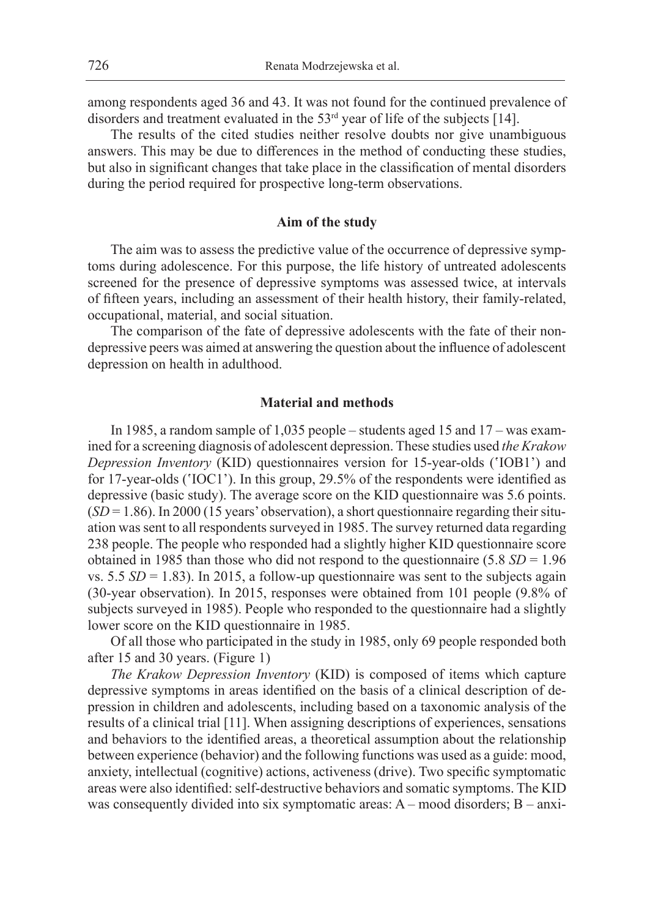among respondents aged 36 and 43. It was not found for the continued prevalence of disorders and treatment evaluated in the  $53<sup>rd</sup>$  year of life of the subjects [14].

The results of the cited studies neither resolve doubts nor give unambiguous answers. This may be due to differences in the method of conducting these studies, but also in significant changes that take place in the classification of mental disorders during the period required for prospective long-term observations.

### **Aim of the study**

The aim was to assess the predictive value of the occurrence of depressive symptoms during adolescence. For this purpose, the life history of untreated adolescents screened for the presence of depressive symptoms was assessed twice, at intervals of fifteen years, including an assessment of their health history, their family-related, occupational, material, and social situation.

The comparison of the fate of depressive adolescents with the fate of their nondepressive peers was aimed at answering the question about the influence of adolescent depression on health in adulthood.

### **Material and methods**

In 1985, a random sample of 1,035 people – students aged 15 and 17 – was examined for a screening diagnosis of adolescent depression. These studies used *the Krakow Depression Inventory* (KID) questionnaires version for 15-year-olds ('IOB1') and for 17-year-olds ('IOC1'). In this group, 29.5% of the respondents were identified as depressive (basic study). The average score on the KID questionnaire was 5.6 points. (*SD* = 1.86). In 2000 (15 years' observation), a short questionnaire regarding their situation was sent to all respondents surveyed in 1985. The survey returned data regarding 238 people. The people who responded had a slightly higher KID questionnaire score obtained in 1985 than those who did not respond to the questionnaire (5.8 *SD* = 1.96 vs.  $5.5 SD = 1.83$ ). In 2015, a follow-up questionnaire was sent to the subjects again (30-year observation). In 2015, responses were obtained from 101 people (9.8% of subjects surveyed in 1985). People who responded to the questionnaire had a slightly lower score on the KID questionnaire in 1985.

Of all those who participated in the study in 1985, only 69 people responded both after 15 and 30 years. (Figure 1)

*The Krakow Depression Inventory* (KID) is composed of items which capture depressive symptoms in areas identified on the basis of a clinical description of depression in children and adolescents, including based on a taxonomic analysis of the results of a clinical trial [11]. When assigning descriptions of experiences, sensations and behaviors to the identified areas, a theoretical assumption about the relationship between experience (behavior) and the following functions was used as a guide: mood, anxiety, intellectual (cognitive) actions, activeness (drive). Two specific symptomatic areas were also identified: self-destructive behaviors and somatic symptoms. The KID was consequently divided into six symptomatic areas: A – mood disorders; B – anxi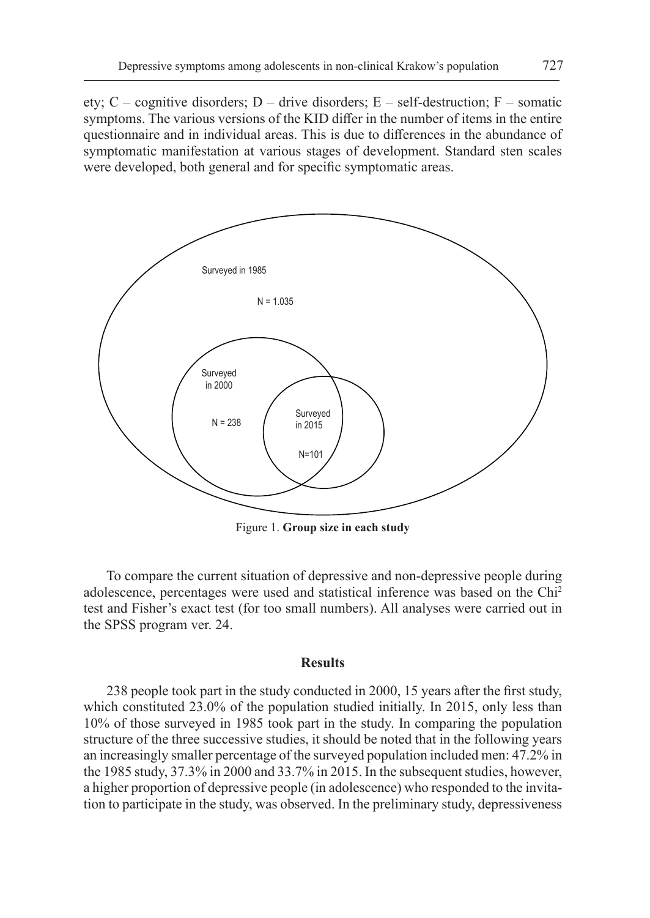ety; C – cognitive disorders; D – drive disorders; E – self-destruction; F – somatic symptoms. The various versions of the KID differ in the number of items in the entire questionnaire and in individual areas. This is due to differences in the abundance of symptomatic manifestation at various stages of development. Standard sten scales were developed, both general and for specific symptomatic areas.



Figure 1. **Group size in each study**

To compare the current situation of depressive and non-depressive people during adolescence, percentages were used and statistical inference was based on the Chi2 test and Fisher's exact test (for too small numbers). All analyses were carried out in the SPSS program ver. 24.

# **Results**

238 people took part in the study conducted in 2000, 15 years after the first study, which constituted 23.0% of the population studied initially. In 2015, only less than 10% of those surveyed in 1985 took part in the study. In comparing the population structure of the three successive studies, it should be noted that in the following years an increasingly smaller percentage of the surveyed population included men: 47.2% in the 1985 study, 37.3% in 2000 and 33.7% in 2015. In the subsequent studies, however, a higher proportion of depressive people (in adolescence) who responded to the invitation to participate in the study, was observed. In the preliminary study, depressiveness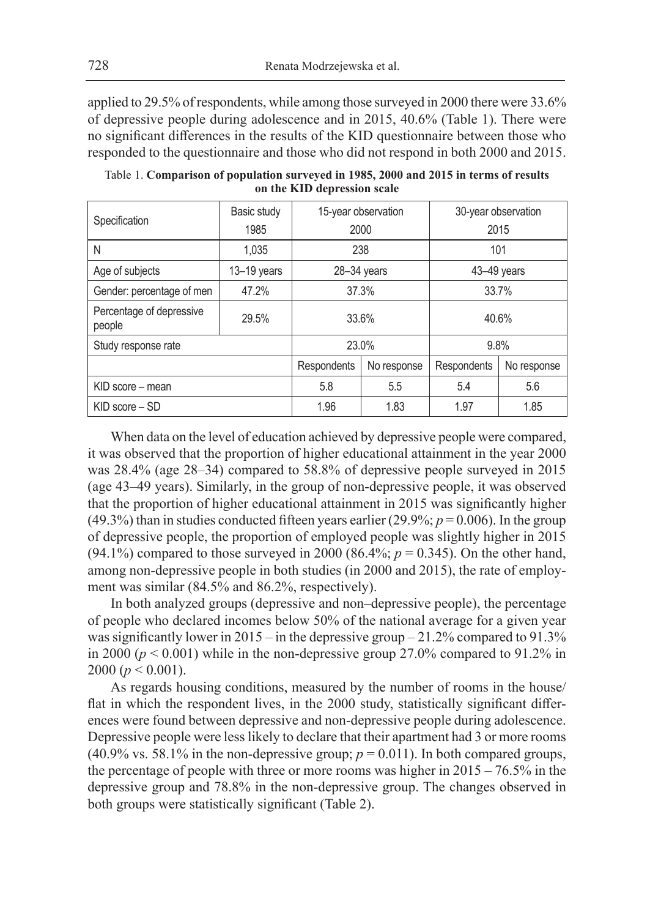applied to 29.5% of respondents, while among those surveyed in 2000 there were 33.6% of depressive people during adolescence and in 2015, 40.6% (Table 1). There were no significant differences in the results of the KID questionnaire between those who responded to the questionnaire and those who did not respond in both 2000 and 2015.

| Specification                      | Basic study<br>1985 | 15-year observation<br>2000 |             | 30-year observation<br>2015 |             |  |
|------------------------------------|---------------------|-----------------------------|-------------|-----------------------------|-------------|--|
| N                                  | 1.035               | 238                         |             | 101                         |             |  |
| Age of subjects                    | $13 - 19$ years     | 28-34 years                 |             | 43-49 years                 |             |  |
| Gender: percentage of men          | 47.2%               | 37.3%                       |             | 33.7%                       |             |  |
| Percentage of depressive<br>people | 29.5%               | 33.6%                       |             | 40.6%                       |             |  |
| Study response rate                |                     | 23.0%                       |             | 9.8%                        |             |  |
|                                    |                     | Respondents                 | No response | Respondents                 | No response |  |
| KID score – mean                   |                     | 5.8                         | 5.5         | 5.4                         | 5.6         |  |
| $KID$ score $-SD$                  |                     | 1.96                        | 1.83        | 1.97                        | 1.85        |  |

Table 1. **Comparison of population surveyed in 1985, 2000 and 2015 in terms of results on the KID depression scale**

When data on the level of education achieved by depressive people were compared, it was observed that the proportion of higher educational attainment in the year 2000 was 28.4% (age 28–34) compared to 58.8% of depressive people surveyed in 2015 (age 43–49 years). Similarly, in the group of non-depressive people, it was observed that the proportion of higher educational attainment in 2015 was significantly higher (49.3%) than in studies conducted fifteen years earlier (29.9%;  $p = 0.006$ ). In the group of depressive people, the proportion of employed people was slightly higher in 2015 (94.1%) compared to those surveyed in 2000 (86.4%;  $p = 0.345$ ). On the other hand, among non-depressive people in both studies (in 2000 and 2015), the rate of employment was similar (84.5% and 86.2%, respectively).

In both analyzed groups (depressive and non–depressive people), the percentage of people who declared incomes below 50% of the national average for a given year was significantly lower in 2015 – in the depressive group – 21.2% compared to 91.3% in 2000 ( $p < 0.001$ ) while in the non-depressive group 27.0% compared to 91.2% in 2000 ( $p < 0.001$ ).

As regards housing conditions, measured by the number of rooms in the house/ flat in which the respondent lives, in the 2000 study, statistically significant differences were found between depressive and non-depressive people during adolescence. Depressive people were less likely to declare that their apartment had 3 or more rooms (40.9% vs. 58.1% in the non-depressive group;  $p = 0.011$ ). In both compared groups, the percentage of people with three or more rooms was higher in 2015 – 76.5% in the depressive group and 78.8% in the non-depressive group. The changes observed in both groups were statistically significant (Table 2).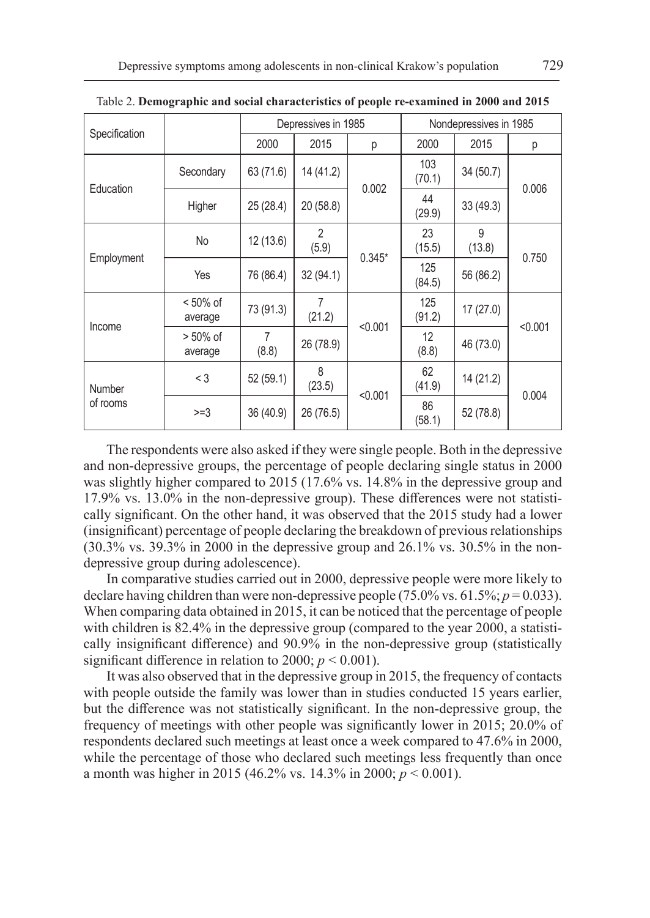|                    |                        |            | Depressives in 1985     |          | Nondepressives in 1985 |             |                |  |
|--------------------|------------------------|------------|-------------------------|----------|------------------------|-------------|----------------|--|
| Specification      |                        | 2000       | 2015                    | р        | 2000                   | 2015        | р              |  |
| Education          | Secondary              | 63 (71.6)  | 14 (41.2)               | 0.002    | 103<br>(70.1)          | 34 (50.7)   | 0.006<br>0.750 |  |
|                    | Higher                 | 25 (28.4)  | 20 (58.8)               |          | 44<br>(29.9)           | 33(49.3)    |                |  |
| Employment         | No                     | 12(13.6)   | $\overline{2}$<br>(5.9) | $0.345*$ | 23<br>(15.5)           | 9<br>(13.8) |                |  |
|                    | Yes                    | 76 (86.4)  | 32(94.1)                |          | 125<br>(84.5)          | 56 (86.2)   |                |  |
| Income             | $< 50\%$ of<br>average | 73 (91.3)  | 7<br>(21.2)             | < 0.001  | 125<br>(91.2)          | 17(27.0)    | < 0.001        |  |
|                    | $> 50\%$ of<br>average | 7<br>(8.8) | 26 (78.9)               |          | 12<br>(8.8)            | 46 (73.0)   |                |  |
| Number<br>of rooms | $<$ 3                  | 52 (59.1)  | 8<br>(23.5)             | < 0.001  | 62<br>(41.9)           | 14 (21.2)   | 0.004          |  |
|                    | $>=3$                  | 36 (40.9)  | 26 (76.5)               |          | 86<br>(58.1)           | 52 (78.8)   |                |  |

Table 2. **Demographic and social characteristics of people re-examined in 2000 and 2015**

The respondents were also asked if they were single people. Both in the depressive and non-depressive groups, the percentage of people declaring single status in 2000 was slightly higher compared to 2015 (17.6% vs. 14.8% in the depressive group and 17.9% vs. 13.0% in the non-depressive group). These differences were not statistically significant. On the other hand, it was observed that the 2015 study had a lower (insignificant) percentage of people declaring the breakdown of previous relationships (30.3% vs. 39.3% in 2000 in the depressive group and 26.1% vs. 30.5% in the nondepressive group during adolescence).

In comparative studies carried out in 2000, depressive people were more likely to declare having children than were non-depressive people (75.0% vs. 61.5%; *p* = 0.033). When comparing data obtained in 2015, it can be noticed that the percentage of people with children is 82.4% in the depressive group (compared to the year 2000, a statistically insignificant difference) and 90.9% in the non-depressive group (statistically significant difference in relation to 2000;  $p < 0.001$ ).

It was also observed that in the depressive group in 2015, the frequency of contacts with people outside the family was lower than in studies conducted 15 years earlier, but the difference was not statistically significant. In the non-depressive group, the frequency of meetings with other people was significantly lower in 2015; 20.0% of respondents declared such meetings at least once a week compared to 47.6% in 2000, while the percentage of those who declared such meetings less frequently than once a month was higher in 2015 (46.2% vs. 14.3% in 2000; *p* < 0.001).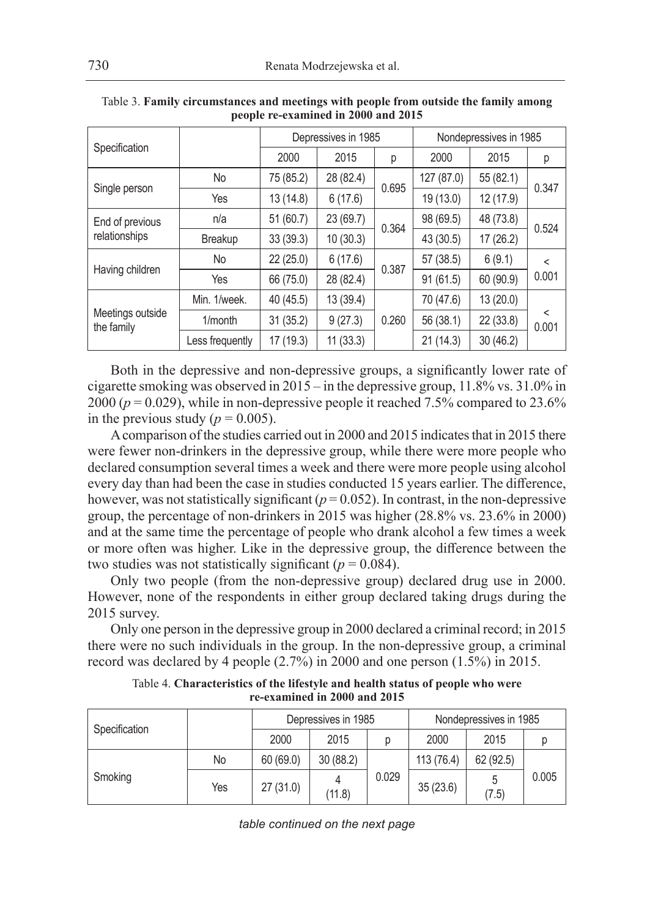| Specification                    |                 | Depressives in 1985 |           |       | Nondepressives in 1985 |           |                  |
|----------------------------------|-----------------|---------------------|-----------|-------|------------------------|-----------|------------------|
|                                  |                 | 2000                | 2015      | р     | 2000                   | 2015      | р                |
| Single person                    | No              | 75 (85.2)           | 28 (82.4) | 0.695 | 127 (87.0)             | 55 (82.1) | 0.347            |
|                                  | Yes             | 13(14.8)            | 6(17.6)   |       | 19 (13.0)              | 12 (17.9) |                  |
| End of previous<br>relationships | n/a             | 51 (60.7)           | 23 (69.7) | 0.364 | 98 (69.5)              | 48 (73.8) | 0.524            |
|                                  | Breakup         | 33(39.3)            | 10(30.3)  |       | 43 (30.5)              | 17 (26.2) |                  |
| Having children                  | No              | 22 (25.0)           | 6(17.6)   | 0.387 | 57 (38.5)              | 6(9.1)    | $\,<\,$<br>0.001 |
|                                  | Yes             | 66 (75.0)           | 28 (82.4) |       | 91(61.5)               | 60 (90.9) |                  |
| Meetings outside<br>the family   | Min. 1/week.    | 40 (45.5)           | 13 (39.4) |       | 70 (47.6)              | 13 (20.0) |                  |
|                                  | $1/m$ onth      | 31(35.2)            | 9(27.3)   | 0.260 | 56 (38.1)              | 22 (33.8) | <<br>0.001       |
|                                  | Less frequently | 17 (19.3)           | 11(33.3)  |       | 21(14.3)               | 30(46.2)  |                  |

| Table 3. Family circumstances and meetings with people from outside the family among |  |
|--------------------------------------------------------------------------------------|--|
| people re-examined in 2000 and 2015                                                  |  |

Both in the depressive and non-depressive groups, a significantly lower rate of cigarette smoking was observed in 2015 – in the depressive group, 11.8% vs. 31.0% in 2000 (*p* = 0.029), while in non-depressive people it reached 7.5% compared to 23.6% in the previous study  $(p = 0.005)$ .

A comparison of the studies carried out in 2000 and 2015 indicates that in 2015 there were fewer non-drinkers in the depressive group, while there were more people who declared consumption several times a week and there were more people using alcohol every day than had been the case in studies conducted 15 years earlier. The difference, however, was not statistically significant  $(p=0.052)$ . In contrast, in the non-depressive group, the percentage of non-drinkers in 2015 was higher (28.8% vs. 23.6% in 2000) and at the same time the percentage of people who drank alcohol a few times a week or more often was higher. Like in the depressive group, the difference between the two studies was not statistically significant ( $p = 0.084$ ).

Only two people (from the non-depressive group) declared drug use in 2000. However, none of the respondents in either group declared taking drugs during the 2015 survey.

Only one person in the depressive group in 2000 declared a criminal record; in 2015 there were no such individuals in the group. In the non-depressive group, a criminal record was declared by 4 people (2.7%) in 2000 and one person (1.5%) in 2015.

| Specification |     | Depressives in 1985 |          |       | Nondepressives in 1985 |            |       |
|---------------|-----|---------------------|----------|-------|------------------------|------------|-------|
|               |     | 2000                | 2015     |       | 2000                   | 2015       |       |
| Smoking       | No  | 60 (69.0)           | 30(88.2) |       | 113 (76.4)             | 62 (92.5)  |       |
|               | Yes | 27(31.0)            | (11.8)   | 0.029 | 35(23.6)               | 5<br>(7.5) | 0.005 |

Table 4. **Characteristics of the lifestyle and health status of people who were re-examined in 2000 and 2015**

*table continued on the next page*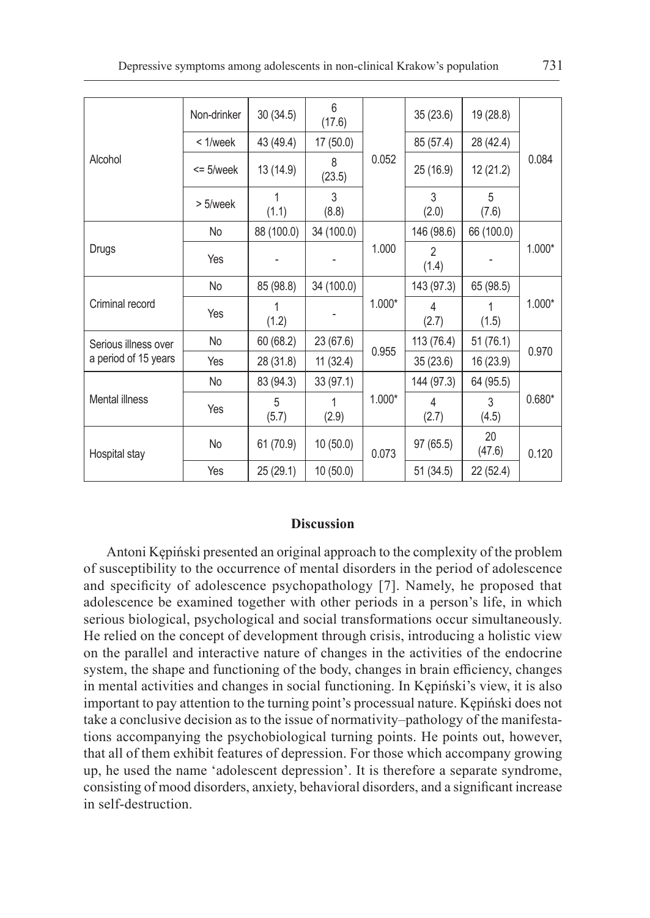| Alcohol                                      | Non-drinker   | 30(34.5)   | 6<br>(17.6) | 0.052    | 35 (23.6)               | 19 (28.8)    | 0.084    |
|----------------------------------------------|---------------|------------|-------------|----------|-------------------------|--------------|----------|
|                                              | $< 1$ /week   | 43 (49.4)  | 17(50.0)    |          | 85 (57.4)               | 28 (42.4)    |          |
|                                              | $\leq$ 5/week | 13 (14.9)  | 8<br>(23.5) |          | 25 (16.9)               | 12 (21.2)    |          |
|                                              | $> 5$ /week   | 1<br>(1.1) | 3<br>(8.8)  |          | 3<br>(2.0)              | 5<br>(7.6)   |          |
|                                              | No            | 88 (100.0) | 34 (100.0)  |          | 146 (98.6)              | 66 (100.0)   | $1.000*$ |
| Drugs                                        | Yes           |            |             | 1.000    | $\mathfrak{p}$<br>(1.4) |              |          |
| Criminal record                              | No            | 85 (98.8)  | 34 (100.0)  | $1.000*$ | 143 (97.3)              | 65 (98.5)    | $1.000*$ |
|                                              | Yes           | 1<br>(1.2) |             |          | 4<br>(2.7)              | 1<br>(1.5)   |          |
| Serious illness over<br>a period of 15 years | No            | 60 (68.2)  | 23 (67.6)   | 0.955    | 113 (76.4)              | 51(76.1)     | 0.970    |
|                                              | Yes           | 28 (31.8)  | 11(32.4)    |          | 35 (23.6)               | 16 (23.9)    |          |
| Mental illness                               | No            | 83 (94.3)  | 33(97.1)    | $1.000*$ | 144 (97.3)              | 64 (95.5)    | $0.680*$ |
|                                              | Yes           | 5<br>(5.7) | 1<br>(2.9)  |          | 4<br>(2.7)              | 3<br>(4.5)   |          |
| Hospital stay                                | No            | 61 (70.9)  | 10(50.0)    | 0.073    | 97 (65.5)               | 20<br>(47.6) | 0.120    |
|                                              | Yes           | 25 (29.1)  | 10(50.0)    |          | 51(34.5)                | 22 (52.4)    |          |

# **Discussion**

Antoni Kępiński presented an original approach to the complexity of the problem of susceptibility to the occurrence of mental disorders in the period of adolescence and specificity of adolescence psychopathology [7]. Namely, he proposed that adolescence be examined together with other periods in a person's life, in which serious biological, psychological and social transformations occur simultaneously. He relied on the concept of development through crisis, introducing a holistic view on the parallel and interactive nature of changes in the activities of the endocrine system, the shape and functioning of the body, changes in brain efficiency, changes in mental activities and changes in social functioning. In Kępiński's view, it is also important to pay attention to the turning point's processual nature. Kępiński does not take a conclusive decision as to the issue of normativity–pathology of the manifestations accompanying the psychobiological turning points. He points out, however, that all of them exhibit features of depression. For those which accompany growing up, he used the name 'adolescent depression'. It is therefore a separate syndrome, consisting of mood disorders, anxiety, behavioral disorders, and a significant increase in self-destruction.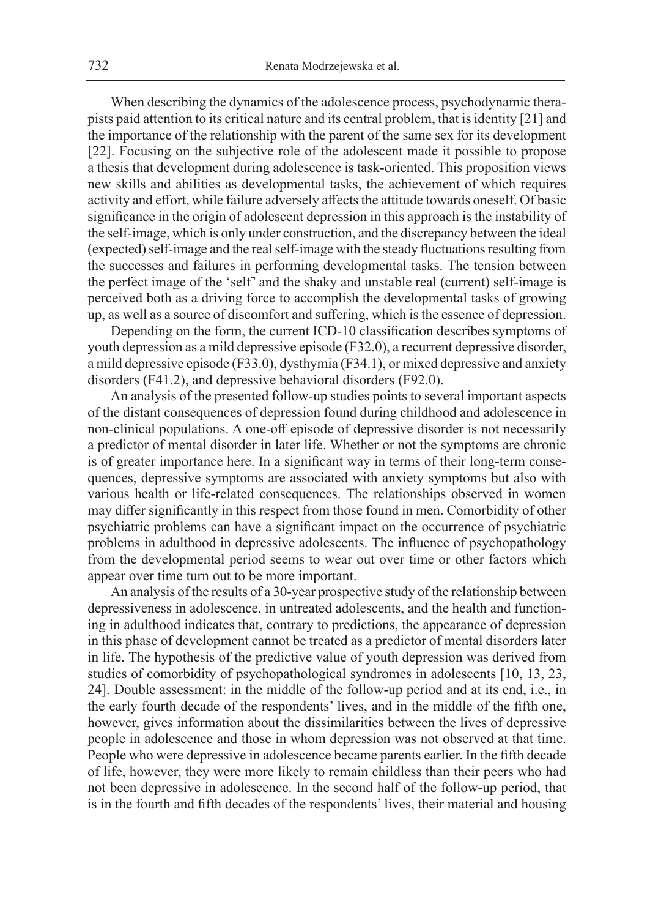When describing the dynamics of the adolescence process, psychodynamic therapists paid attention to its critical nature and its central problem, that is identity [21] and the importance of the relationship with the parent of the same sex for its development [22]. Focusing on the subjective role of the adolescent made it possible to propose a thesis that development during adolescence is task-oriented. This proposition views new skills and abilities as developmental tasks, the achievement of which requires activity and effort, while failure adversely affects the attitude towards oneself. Of basic significance in the origin of adolescent depression in this approach is the instability of the self-image, which is only under construction, and the discrepancy between the ideal (expected) self-image and the real self-image with the steady fluctuations resulting from the successes and failures in performing developmental tasks. The tension between the perfect image of the 'self' and the shaky and unstable real (current) self-image is perceived both as a driving force to accomplish the developmental tasks of growing up, as well as a source of discomfort and suffering, which is the essence of depression.

Depending on the form, the current ICD-10 classification describes symptoms of youth depression as a mild depressive episode (F32.0), a recurrent depressive disorder, a mild depressive episode (F33.0), dysthymia (F34.1), or mixed depressive and anxiety disorders (F41.2), and depressive behavioral disorders (F92.0).

An analysis of the presented follow-up studies points to several important aspects of the distant consequences of depression found during childhood and adolescence in non-clinical populations. A one-off episode of depressive disorder is not necessarily a predictor of mental disorder in later life. Whether or not the symptoms are chronic is of greater importance here. In a significant way in terms of their long-term consequences, depressive symptoms are associated with anxiety symptoms but also with various health or life-related consequences. The relationships observed in women may differ significantly in this respect from those found in men. Comorbidity of other psychiatric problems can have a significant impact on the occurrence of psychiatric problems in adulthood in depressive adolescents. The influence of psychopathology from the developmental period seems to wear out over time or other factors which appear over time turn out to be more important.

An analysis of the results of a 30-year prospective study of the relationship between depressiveness in adolescence, in untreated adolescents, and the health and functioning in adulthood indicates that, contrary to predictions, the appearance of depression in this phase of development cannot be treated as a predictor of mental disorders later in life. The hypothesis of the predictive value of youth depression was derived from studies of comorbidity of psychopathological syndromes in adolescents [10, 13, 23, 24]. Double assessment: in the middle of the follow-up period and at its end, i.e., in the early fourth decade of the respondents' lives, and in the middle of the fifth one, however, gives information about the dissimilarities between the lives of depressive people in adolescence and those in whom depression was not observed at that time. People who were depressive in adolescence became parents earlier. In the fifth decade of life, however, they were more likely to remain childless than their peers who had not been depressive in adolescence. In the second half of the follow-up period, that is in the fourth and fifth decades of the respondents' lives, their material and housing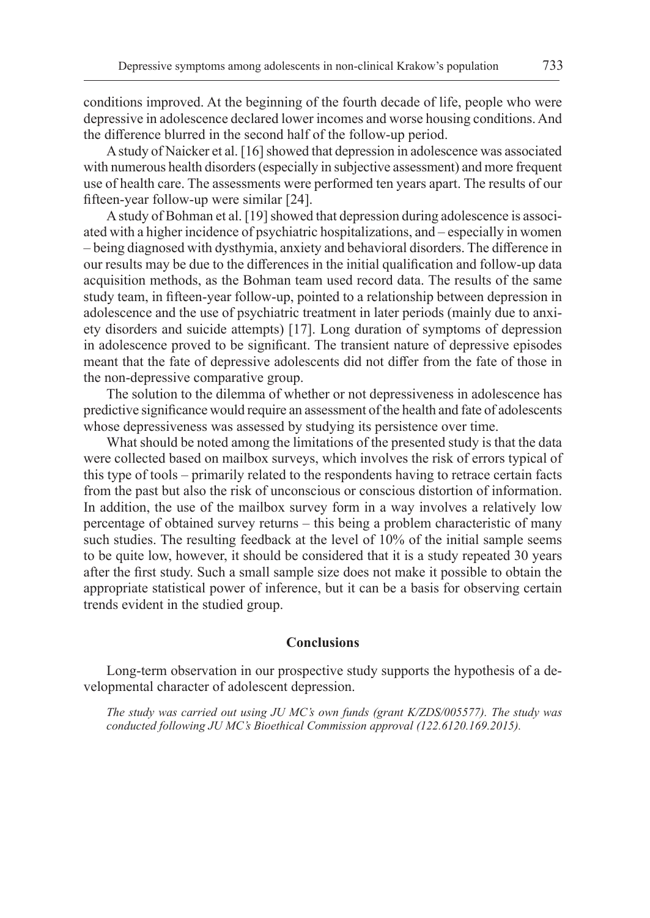conditions improved. At the beginning of the fourth decade of life, people who were depressive in adolescence declared lower incomes and worse housing conditions. And the difference blurred in the second half of the follow-up period.

A study of Naicker et al. [16] showed that depression in adolescence was associated with numerous health disorders (especially in subjective assessment) and more frequent use of health care. The assessments were performed ten years apart. The results of our fifteen-year follow-up were similar [24].

A study of Bohman et al. [19] showed that depression during adolescence is associated with a higher incidence of psychiatric hospitalizations, and – especially in women – being diagnosed with dysthymia, anxiety and behavioral disorders. The difference in our results may be due to the differences in the initial qualification and follow-up data acquisition methods, as the Bohman team used record data. The results of the same study team, in fifteen-year follow-up, pointed to a relationship between depression in adolescence and the use of psychiatric treatment in later periods (mainly due to anxiety disorders and suicide attempts) [17]. Long duration of symptoms of depression in adolescence proved to be significant. The transient nature of depressive episodes meant that the fate of depressive adolescents did not differ from the fate of those in the non-depressive comparative group.

The solution to the dilemma of whether or not depressiveness in adolescence has predictive significance would require an assessment of the health and fate of adolescents whose depressiveness was assessed by studying its persistence over time.

What should be noted among the limitations of the presented study is that the data were collected based on mailbox surveys, which involves the risk of errors typical of this type of tools – primarily related to the respondents having to retrace certain facts from the past but also the risk of unconscious or conscious distortion of information. In addition, the use of the mailbox survey form in a way involves a relatively low percentage of obtained survey returns – this being a problem characteristic of many such studies. The resulting feedback at the level of 10% of the initial sample seems to be quite low, however, it should be considered that it is a study repeated 30 years after the first study. Such a small sample size does not make it possible to obtain the appropriate statistical power of inference, but it can be a basis for observing certain trends evident in the studied group.

#### **Conclusions**

Long-term observation in our prospective study supports the hypothesis of a developmental character of adolescent depression.

*The study was carried out using JU MC's own funds (grant K/ZDS/005577). The study was conducted following JU MC's Bioethical Commission approval (122.6120.169.2015).*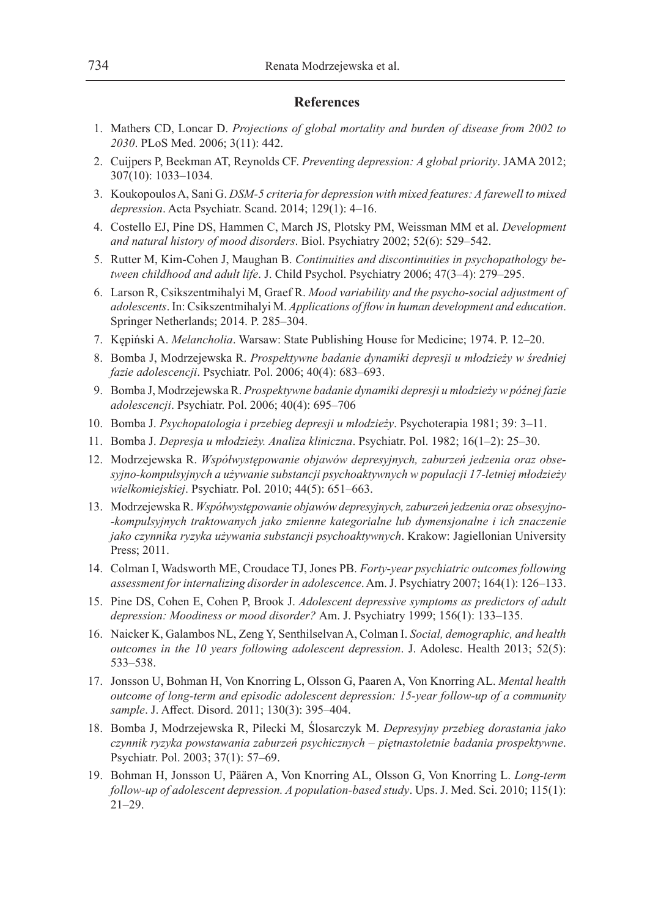### **References**

- 1. Mathers CD, Loncar D. *Projections of global mortality and burden of disease from 2002 to 2030*. PLoS Med. 2006; 3(11): 442.
- 2. Cuijpers P, Beekman AT, Reynolds CF. *Preventing depression: A global priority*. JAMA 2012; 307(10): 1033–1034.
- 3. Koukopoulos A, Sani G. *DSM-5 criteria for depression with mixed features: A farewell to mixed depression*. Acta Psychiatr. Scand. 2014; 129(1): 4–16.
- 4. Costello EJ, Pine DS, Hammen C, March JS, Plotsky PM, Weissman MM et al. *Development and natural history of mood disorders*. Biol. Psychiatry 2002; 52(6): 529–542.
- 5. Rutter M, Kim-Cohen J, Maughan B. *Continuities and discontinuities in psychopathology between childhood and adult life*. J. Child Psychol. Psychiatry 2006; 47(3–4): 279–295.
- 6. Larson R, Csikszentmihalyi M, Graef R. *Mood variability and the psycho-social adjustment of adolescents*. In: Csikszentmihalyi M. *Applications of flow in human development and education*. Springer Netherlands; 2014. P. 285–304.
- 7. Kępiński A. *Melancholia*. Warsaw: State Publishing House for Medicine; 1974. P. 12–20.
- 8. Bomba J, Modrzejewska R. *Prospektywne badanie dynamiki depresji u młodzieży w średniej fazie adolescencji*. Psychiatr. Pol. 2006; 40(4): 683–693.
- 9. Bomba J, Modrzejewska R. *Prospektywne badanie dynamiki depresji u młodzieży w późnej fazie adolescencji*. Psychiatr. Pol. 2006; 40(4): 695–706
- 10. Bomba J. *Psychopatologia i przebieg depresji u młodzieży*. Psychoterapia 1981; 39: 3–11.
- 11. Bomba J. *Depresja u młodzieży. Analiza kliniczna*. Psychiatr. Pol. 1982; 16(1–2): 25–30.
- 12. Modrzejewska R. *Współwystępowanie objawów depresyjnych, zaburzeń jedzenia oraz obsesyjno-kompulsyjnych a używanie substancji psychoaktywnych w populacji 17-letniej młodzieży wielkomiejskiej*. Psychiatr. Pol. 2010; 44(5): 651–663.
- 13. Modrzejewska R. *Współwystępowanie objawów depresyjnych, zaburzeń jedzenia oraz obsesyjno- -kompulsyjnych traktowanych jako zmienne kategorialne lub dymensjonalne i ich znaczenie jako czynnika ryzyka używania substancji psychoaktywnych*. Krakow: Jagiellonian University Press; 2011.
- 14. Colman I, Wadsworth ME, Croudace TJ, Jones PB. *Forty-year psychiatric outcomes following assessment for internalizing disorder in adolescence*. Am. J. Psychiatry 2007; 164(1): 126–133.
- 15. Pine DS, Cohen E, Cohen P, Brook J. *Adolescent depressive symptoms as predictors of adult depression: Moodiness or mood disorder?* Am. J. Psychiatry 1999; 156(1): 133–135.
- 16. Naicker K, Galambos NL, Zeng Y, Senthilselvan A, Colman I. *Social, demographic, and health outcomes in the 10 years following adolescent depression*. J. Adolesc. Health 2013; 52(5): 533–538.
- 17. Jonsson U, Bohman H, Von Knorring L, Olsson G, Paaren A, Von Knorring AL. *Mental health outcome of long-term and episodic adolescent depression: 15-year follow-up of a community sample*. J. Affect. Disord. 2011; 130(3): 395–404.
- 18. Bomba J, Modrzejewska R, Pilecki M, Ślosarczyk M. *Depresyjny przebieg dorastania jako czynnik ryzyka powstawania zaburzeń psychicznych – piętnastoletnie badania prospektywne*. Psychiatr. Pol. 2003; 37(1): 57–69.
- 19. Bohman H, Jonsson U, Päären A, Von Knorring AL, Olsson G, Von Knorring L. *Long-term follow-up of adolescent depression. A population-based study*. Ups. J. Med. Sci. 2010; 115(1): 21–29.